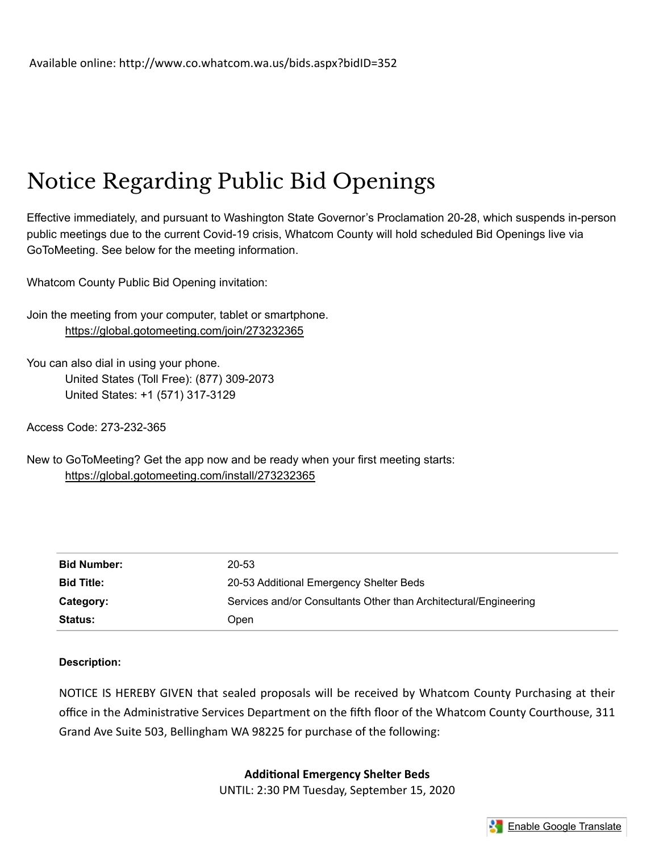# Notice Regarding Public Bid Openings

Effective immediately, and pursuant to Washington State Governor's Proclamation 20-28, which suspends in-person public meetings due to the current Covid-19 crisis, Whatcom County will hold scheduled Bid Openings live via GoToMeeting. See below for the meeting information.

Whatcom County Public Bid Opening invitation:

Join the meeting from your computer, tablet or smartphone. https://global.gotomeeting.com/join/273232365

You can also dial in using your phone. United States (Toll Free): (877) 309-2073 United States: +1 (571) 317-3129

Access Code: 273-232-365

New to GoToMeeting? Get the app now and be ready when your first meeting starts: https://global.gotomeeting.com/install/273232365

| <b>Bid Number:</b> | 20-53                                                            |
|--------------------|------------------------------------------------------------------|
| <b>Bid Title:</b>  | 20-53 Additional Emergency Shelter Beds                          |
| Category:          | Services and/or Consultants Other than Architectural/Engineering |
| <b>Status:</b>     | Open                                                             |

## Description:

NOTICE IS HEREBY GIVEN that sealed proposals will be received by Whatcom County Purchasing at their office in the Administrative Services Department on the fifth floor of the Whatcom County Courthouse, 311 Grand Ave Suite 503, Bellingham WA 98225 for purchase of the following:

Additional Emergency Shelter Beds

UNTIL: 2:30 PM Tuesday, September 15, 2020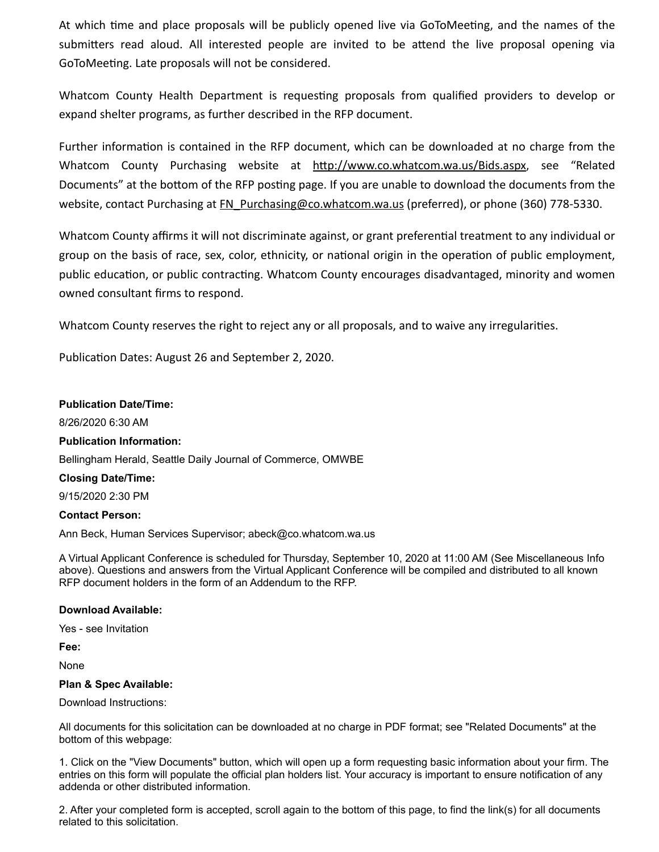At which time and place proposals will be publicly opened live via GoToMeeting, and the names of the submitters read aloud. All interested people are invited to be attend the live proposal opening via GoToMeeting. Late proposals will not be considered.

Whatcom County Health Department is requesting proposals from qualified providers to develop or expand shelter programs, as further described in the RFP document.

Further information is contained in the RFP document, which can be downloaded at no charge from the Whatcom County Purchasing website at http://www.co.whatcom.wa.us/Bids.aspx, see "Related Documents" at the bottom of the RFP posting page. If you are unable to download the documents from the website, contact Purchasing at FN\_Purchasing@co.whatcom.wa.us (preferred), or phone (360) 778-5330.

Whatcom County affirms it will not discriminate against, or grant preferential treatment to any individual or group on the basis of race, sex, color, ethnicity, or national origin in the operation of public employment, public education, or public contracting. Whatcom County encourages disadvantaged, minority and women owned consultant firms to respond.

Whatcom County reserves the right to reject any or all proposals, and to waive any irregularities.

Publication Dates: August 26 and September 2, 2020.

#### Publication Date/Time:

8/26/2020 6:30 AM

#### Publication Information:

Bellingham Herald, Seattle Daily Journal of Commerce, OMWBE

#### Closing Date/Time:

9/15/2020 2:30 PM

#### Contact Person:

Ann Beck, Human Services Supervisor; abeck@co.whatcom.wa.us

A Virtual Applicant Conference is scheduled for Thursday, September 10, 2020 at 11:00 AM (See Miscellaneous Info above). Questions and answers from the Virtual Applicant Conference will be compiled and distributed to all known RFP document holders in the form of an Addendum to the RFP.

#### Download Available:

Yes - see Invitation

Fee:

None

#### Plan & Spec Available:

Download Instructions:

All documents for this solicitation can be downloaded at no charge in PDF format; see "Related Documents" at the bottom of this webpage:

1. Click on the "View Documents" button, which will open up a form requesting basic information about your firm. The entries on this form will populate the official plan holders list. Your accuracy is important to ensure notification of any addenda or other distributed information.

2. After your completed form is accepted, scroll again to the bottom of this page, to find the link(s) for all documents related to this solicitation.